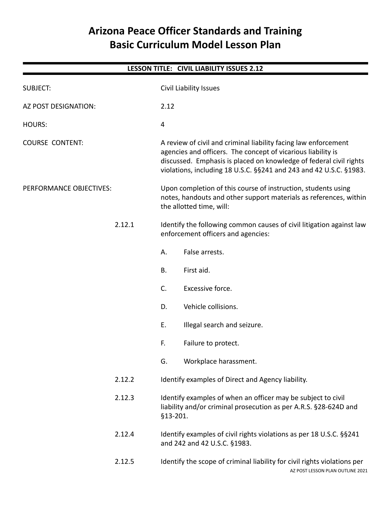# **Arizona Peace Officer Standards and Training Basic Curriculum Model Lesson Plan**

| <b>LESSON TITLE: CIVIL LIABILITY ISSUES 2.12</b> |        |                                                                                                                                                                                                                                                                             |  |  |
|--------------------------------------------------|--------|-----------------------------------------------------------------------------------------------------------------------------------------------------------------------------------------------------------------------------------------------------------------------------|--|--|
| <b>SUBJECT:</b>                                  |        | Civil Liability Issues                                                                                                                                                                                                                                                      |  |  |
| AZ POST DESIGNATION:                             |        | 2.12                                                                                                                                                                                                                                                                        |  |  |
| <b>HOURS:</b>                                    |        | 4                                                                                                                                                                                                                                                                           |  |  |
| <b>COURSE CONTENT:</b>                           |        | A review of civil and criminal liability facing law enforcement<br>agencies and officers. The concept of vicarious liability is<br>discussed. Emphasis is placed on knowledge of federal civil rights<br>violations, including 18 U.S.C. §§241 and 243 and 42 U.S.C. §1983. |  |  |
| PERFORMANCE OBJECTIVES:                          |        | Upon completion of this course of instruction, students using<br>notes, handouts and other support materials as references, within<br>the allotted time, will:                                                                                                              |  |  |
|                                                  | 2.12.1 | Identify the following common causes of civil litigation against law<br>enforcement officers and agencies:                                                                                                                                                                  |  |  |
|                                                  |        | False arrests.<br>А.                                                                                                                                                                                                                                                        |  |  |
|                                                  |        | <b>B.</b><br>First aid.                                                                                                                                                                                                                                                     |  |  |
|                                                  |        | C.<br>Excessive force.                                                                                                                                                                                                                                                      |  |  |
|                                                  |        | Vehicle collisions.<br>D.                                                                                                                                                                                                                                                   |  |  |
|                                                  |        | Ε.<br>Illegal search and seizure.                                                                                                                                                                                                                                           |  |  |
|                                                  |        | F.<br>Failure to protect.                                                                                                                                                                                                                                                   |  |  |
|                                                  |        | Workplace harassment.<br>G.                                                                                                                                                                                                                                                 |  |  |
|                                                  | 2.12.2 | Identify examples of Direct and Agency liability.                                                                                                                                                                                                                           |  |  |
|                                                  | 2.12.3 | Identify examples of when an officer may be subject to civil<br>liability and/or criminal prosecution as per A.R.S. §28-624D and<br>§13-201.                                                                                                                                |  |  |
|                                                  | 2.12.4 | Identify examples of civil rights violations as per 18 U.S.C. § § 241<br>and 242 and 42 U.S.C. §1983.                                                                                                                                                                       |  |  |
|                                                  | 2.12.5 | Identify the scope of criminal liability for civil rights violations per<br>AZ POST LESSON PLAN OUTLINE 2021                                                                                                                                                                |  |  |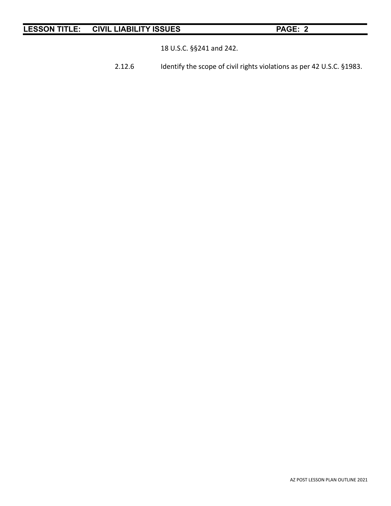18 U.S.C. §§241 and 242.

2.12.6 Identify the scope of civil rights violations as per 42 U.S.C. §1983.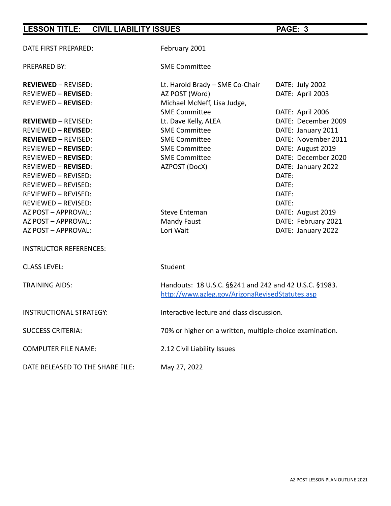| DATE FIRST PREPARED:             | February 2001                                                                                             |                     |  |
|----------------------------------|-----------------------------------------------------------------------------------------------------------|---------------------|--|
| PREPARED BY:                     | <b>SME Committee</b>                                                                                      |                     |  |
| <b>REVIEWED - REVISED:</b>       | Lt. Harold Brady - SME Co-Chair                                                                           | DATE: July 2002     |  |
| <b>REVIEWED - REVISED:</b>       | AZ POST (Word)                                                                                            | DATE: April 2003    |  |
| <b>REVIEWED - REVISED:</b>       | Michael McNeff, Lisa Judge,                                                                               |                     |  |
|                                  | <b>SME Committee</b>                                                                                      | DATE: April 2006    |  |
| <b>REVIEWED - REVISED:</b>       | Lt. Dave Kelly, ALEA                                                                                      | DATE: December 2009 |  |
| <b>REVIEWED - REVISED:</b>       | <b>SME Committee</b>                                                                                      | DATE: January 2011  |  |
| <b>REVIEWED - REVISED:</b>       | <b>SME Committee</b>                                                                                      | DATE: November 2011 |  |
| <b>REVIEWED - REVISED:</b>       | <b>SME Committee</b>                                                                                      | DATE: August 2019   |  |
| <b>REVIEWED - REVISED:</b>       | <b>SME Committee</b>                                                                                      | DATE: December 2020 |  |
| <b>REVIEWED - REVISED:</b>       | AZPOST (DocX)                                                                                             | DATE: January 2022  |  |
| <b>REVIEWED - REVISED:</b>       |                                                                                                           | DATE:               |  |
| REVIEWED - REVISED:              |                                                                                                           | DATE:               |  |
| REVIEWED - REVISED:              |                                                                                                           | DATE:               |  |
| REVIEWED - REVISED:              |                                                                                                           | DATE:               |  |
| AZ POST - APPROVAL:              | <b>Steve Enteman</b>                                                                                      | DATE: August 2019   |  |
| AZ POST - APPROVAL:              | <b>Mandy Faust</b>                                                                                        | DATE: February 2021 |  |
| AZ POST - APPROVAL:              | Lori Wait                                                                                                 | DATE: January 2022  |  |
| <b>INSTRUCTOR REFERENCES:</b>    |                                                                                                           |                     |  |
| <b>CLASS LEVEL:</b>              | Student                                                                                                   |                     |  |
| <b>TRAINING AIDS:</b>            | Handouts: 18 U.S.C. §§241 and 242 and 42 U.S.C. §1983.<br>http://www.azleg.gov/ArizonaRevisedStatutes.asp |                     |  |
| <b>INSTRUCTIONAL STRATEGY:</b>   | Interactive lecture and class discussion.                                                                 |                     |  |
| <b>SUCCESS CRITERIA:</b>         | 70% or higher on a written, multiple-choice examination.                                                  |                     |  |
| <b>COMPUTER FILE NAME:</b>       | 2.12 Civil Liability Issues                                                                               |                     |  |
| DATE RELEASED TO THE SHARE FILE: | May 27, 2022                                                                                              |                     |  |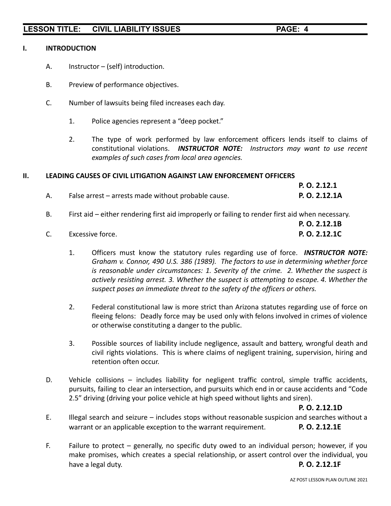### **I. INTRODUCTION**

- A. Instructor (self) introduction.
- B. Preview of performance objectives.
- C. Number of lawsuits being filed increases each day.
	- 1. Police agencies represent a "deep pocket."
	- 2. The type of work performed by law enforcement officers lends itself to claims of constitutional violations. *INSTRUCTOR NOTE: Instructors may want to use recent examples of such cases from local area agencies.*

### **II. LEADING CAUSES OF CIVIL LITIGATION AGAINST LAW ENFORCEMENT OFFICERS**

|                                                     | P. O. 2.12.1  |
|-----------------------------------------------------|---------------|
| False arrest - arrests made without probable cause. | P. O. 2.12.1A |

B. First aid – either rendering first aid improperly or failing to render first aid when necessary.

|    |                  | P. O. 2.12.1B |
|----|------------------|---------------|
| C. | Excessive force. | P. O. 2.12.1C |

- 1. Officers must know the statutory rules regarding use of force. *INSTRUCTOR NOTE: Graham v. Connor, 490 U.S. 386 (1989). The factors to use in determining whether force is reasonable under circumstances: 1. Severity of the crime. 2. Whether the suspect is actively resisting arrest. 3. Whether the suspect is attempting to escape. 4. Whether the suspect poses an immediate threat to the safety of the officers or others.*
- 2. Federal constitutional law is more strict than Arizona statutes regarding use of force on fleeing felons: Deadly force may be used only with felons involved in crimes of violence or otherwise constituting a danger to the public.
- 3. Possible sources of liability include negligence, assault and battery, wrongful death and civil rights violations. This is where claims of negligent training, supervision, hiring and retention often occur.
- D. Vehicle collisions includes liability for negligent traffic control, simple traffic accidents, pursuits, failing to clear an intersection, and pursuits which end in or cause accidents and "Code 2.5" driving (driving your police vehicle at high speed without lights and siren).

**P. O. 2.12.1D**

- E. Illegal search and seizure includes stops without reasonable suspicion and searches without a warrant or an applicable exception to the warrant requirement. **P. O. 2.12.1E**
- F. Failure to protect generally, no specific duty owed to an individual person; however, if you make promises, which creates a special relationship, or assert control over the individual, you have a legal duty. **P. O. 2.12.1F**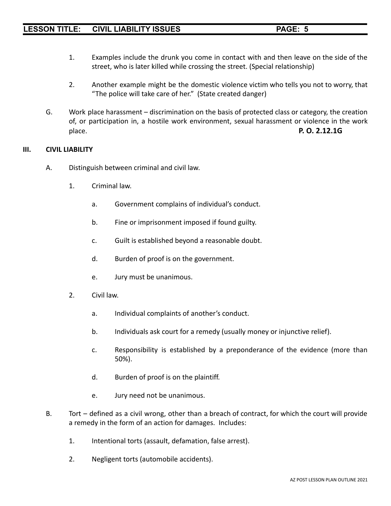- 1. Examples include the drunk you come in contact with and then leave on the side of the street, who is later killed while crossing the street. (Special relationship)
- 2. Another example might be the domestic violence victim who tells you not to worry, that "The police will take care of her." (State created danger)
- G. Work place harassment discrimination on the basis of protected class or category, the creation of, or participation in, a hostile work environment, sexual harassment or violence in the work place. **P. O. 2.12.1G**

### **III. CIVIL LIABILITY**

- A. Distinguish between criminal and civil law.
	- 1. Criminal law.
		- a. Government complains of individual's conduct.
		- b. Fine or imprisonment imposed if found guilty.
		- c. Guilt is established beyond a reasonable doubt.
		- d. Burden of proof is on the government.
		- e. Jury must be unanimous.
	- 2. Civil law.
		- a. Individual complaints of another's conduct.
		- b. Individuals ask court for a remedy (usually money or injunctive relief).
		- c. Responsibility is established by a preponderance of the evidence (more than 50%).
		- d. Burden of proof is on the plaintiff.
		- e. Jury need not be unanimous.
- B. Tort defined as a civil wrong, other than a breach of contract, for which the court will provide a remedy in the form of an action for damages. Includes:
	- 1. Intentional torts (assault, defamation, false arrest).
	- 2. Negligent torts (automobile accidents).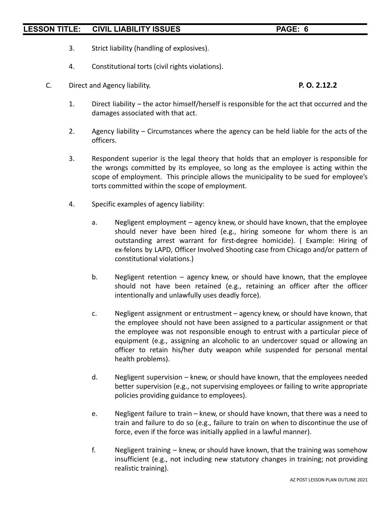- 3. Strict liability (handling of explosives).
- 4. Constitutional torts (civil rights violations).
- C. Direct and Agency liability. **P. O. 2.12.2**

- 1. Direct liability the actor himself/herself is responsible for the act that occurred and the damages associated with that act.
- 2. Agency liability Circumstances where the agency can be held liable for the acts of the officers.
- 3. Respondent superior is the legal theory that holds that an employer is responsible for the wrongs committed by its employee, so long as the employee is acting within the scope of employment. This principle allows the municipality to be sued for employee's torts committed within the scope of employment.
- 4. Specific examples of agency liability:
	- a. Negligent employment agency knew, or should have known, that the employee should never have been hired (e.g., hiring someone for whom there is an outstanding arrest warrant for first-degree homicide). ( Example: Hiring of ex-felons by LAPD, Officer Involved Shooting case from Chicago and/or pattern of constitutional violations.)
	- b. Negligent retention agency knew, or should have known, that the employee should not have been retained (e.g., retaining an officer after the officer intentionally and unlawfully uses deadly force).
	- c. Negligent assignment or entrustment agency knew, or should have known, that the employee should not have been assigned to a particular assignment or that the employee was not responsible enough to entrust with a particular piece of equipment (e.g., assigning an alcoholic to an undercover squad or allowing an officer to retain his/her duty weapon while suspended for personal mental health problems).
	- d. Negligent supervision knew, or should have known, that the employees needed better supervision (e.g., not supervising employees or failing to write appropriate policies providing guidance to employees).
	- e. Negligent failure to train knew, or should have known, that there was a need to train and failure to do so (e.g., failure to train on when to discontinue the use of force, even if the force was initially applied in a lawful manner).
	- f. Negligent training knew, or should have known, that the training was somehow insufficient (e.g., not including new statutory changes in training; not providing realistic training).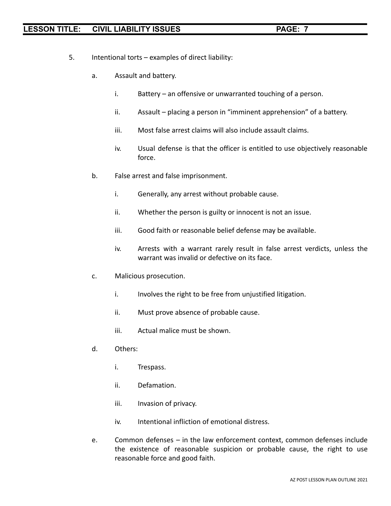- 5. Intentional torts examples of direct liability:
	- a. Assault and battery.
		- i. Battery an offensive or unwarranted touching of a person.
		- ii. Assault placing a person in "imminent apprehension" of a battery.
		- iii. Most false arrest claims will also include assault claims.
		- iv. Usual defense is that the officer is entitled to use objectively reasonable force.
	- b. False arrest and false imprisonment.
		- i. Generally, any arrest without probable cause.
		- ii. Whether the person is guilty or innocent is not an issue.
		- iii. Good faith or reasonable belief defense may be available.
		- iv. Arrests with a warrant rarely result in false arrest verdicts, unless the warrant was invalid or defective on its face.
	- c. Malicious prosecution.
		- i. Involves the right to be free from unjustified litigation.
		- ii. Must prove absence of probable cause.
		- iii. Actual malice must be shown.
	- d. Others:
		- i. Trespass.
		- ii. Defamation.
		- iii. Invasion of privacy.
		- iv. Intentional infliction of emotional distress.
	- e. Common defenses in the law enforcement context, common defenses include the existence of reasonable suspicion or probable cause, the right to use reasonable force and good faith.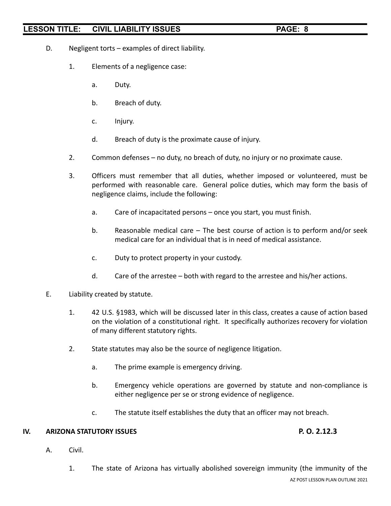- D. Negligent torts examples of direct liability.
	- 1. Elements of a negligence case:
		- a. Duty.
		- b. Breach of duty.
		- c. Injury.
		- d. Breach of duty is the proximate cause of injury.
	- 2. Common defenses no duty, no breach of duty, no injury or no proximate cause.
	- 3. Officers must remember that all duties, whether imposed or volunteered, must be performed with reasonable care. General police duties, which may form the basis of negligence claims, include the following:
		- a. Care of incapacitated persons once you start, you must finish.
		- b. Reasonable medical care The best course of action is to perform and/or seek medical care for an individual that is in need of medical assistance.
		- c. Duty to protect property in your custody.
		- d. Care of the arrestee both with regard to the arrestee and his/her actions.
- E. Liability created by statute.
	- 1. 42 U.S. §1983, which will be discussed later in this class, creates a cause of action based on the violation of a constitutional right. It specifically authorizes recovery for violation of many different statutory rights.
	- 2. State statutes may also be the source of negligence litigation.
		- a. The prime example is emergency driving.
		- b. Emergency vehicle operations are governed by statute and non-compliance is either negligence per se or strong evidence of negligence.
		- c. The statute itself establishes the duty that an officer may not breach.

### **IV. ARIZONA STATUTORY ISSUES P. O. 2.12.3**

A. Civil.

1. The state of Arizona has virtually abolished sovereign immunity (the immunity of the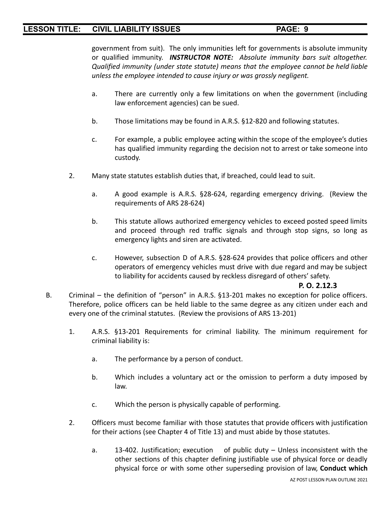government from suit). The only immunities left for governments is absolute immunity or qualified immunity. *INSTRUCTOR NOTE: Absolute immunity bars suit altogether. Qualified immunity (under state statute) means that the employee cannot be held liable unless the employee intended to cause injury or was grossly negligent.*

- a. There are currently only a few limitations on when the government (including law enforcement agencies) can be sued.
- b. Those limitations may be found in A.R.S. §12-820 and following statutes.
- c. For example, a public employee acting within the scope of the employee's duties has qualified immunity regarding the decision not to arrest or take someone into custody.
- 2. Many state statutes establish duties that, if breached, could lead to suit.
	- a. A good example is A.R.S. §28-624, regarding emergency driving. (Review the requirements of ARS 28-624)
	- b. This statute allows authorized emergency vehicles to exceed posted speed limits and proceed through red traffic signals and through stop signs, so long as emergency lights and siren are activated.
	- c. However, subsection D of A.R.S. §28-624 provides that police officers and other operators of emergency vehicles must drive with due regard and may be subject to liability for accidents caused by reckless disregard of others' safety.

# **P. O. 2.12.3**

- B. Criminal the definition of "person" in A.R.S. §13-201 makes no exception for police officers. Therefore, police officers can be held liable to the same degree as any citizen under each and every one of the criminal statutes. (Review the provisions of ARS 13-201)
	- 1. A.R.S. §13-201 Requirements for criminal liability. The minimum requirement for criminal liability is:
		- a. The performance by a person of conduct.
		- b. Which includes a voluntary act or the omission to perform a duty imposed by law.
		- c. Which the person is physically capable of performing.
	- 2. Officers must become familiar with those statutes that provide officers with justification for their actions (see Chapter 4 of Title 13) and must abide by those statutes.
		- a. 13-402. Justification; execution of public duty Unless inconsistent with the other sections of this chapter defining justifiable use of physical force or deadly physical force or with some other superseding provision of law, **Conduct which**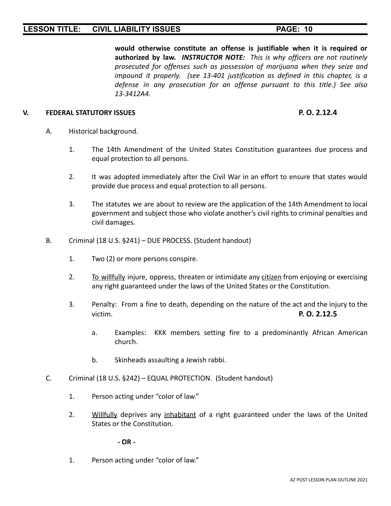**would otherwise constitute an offense is justifiable when it is required or authorized by law.** *INSTRUCTOR NOTE: This is why officers are not routinely prosecuted for offenses such as possession of marijuana when they seize and impound it properly. (see 13-401 justification as defined in this chapter, is a defense in any prosecution for an offense pursuant to this title.) See also 13-3412A4.*

### **V. FEDERAL STATUTORY ISSUES P. O. 2.12.4**

- A. Historical background.
	- 1. The 14th Amendment of the United States Constitution guarantees due process and equal protection to all persons.
	- 2. It was adopted immediately after the Civil War in an effort to ensure that states would provide due process and equal protection to all persons.
	- 3. The statutes we are about to review are the application of the 14th Amendment to local government and subject those who violate another's civil rights to criminal penalties and civil damages.
- B. Criminal (18 U.S. §241) DUE PROCESS. (Student handout)
	- 1. Two (2) or more persons conspire.
	- 2. To willfully injure, oppress, threaten or intimidate any citizen from enjoying or exercising any right guaranteed under the laws of the United States or the Constitution.
	- 3. Penalty: From a fine to death, depending on the nature of the act and the injury to the victim. **P. O. 2.12.5**
		- a. Examples: KKK members setting fire to a predominantly African American church.
		- b. Skinheads assaulting a Jewish rabbi.
- C. Criminal (18 U.S. §242) EQUAL PROTECTION. (Student handout)
	- 1. Person acting under "color of law."
	- 2. Willfully deprives any inhabitant of a right guaranteed under the laws of the United States or the Constitution.

**- OR -**

1. Person acting under "color of law."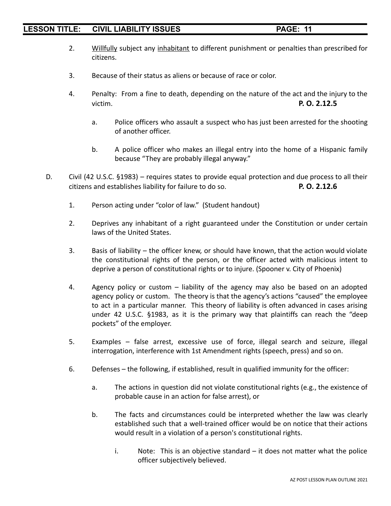- 2. Willfully subject any inhabitant to different punishment or penalties than prescribed for citizens.
- 3. Because of their status as aliens or because of race or color.
- 4. Penalty: From a fine to death, depending on the nature of the act and the injury to the victim. **P. O. 2.12.5**
	- a. Police officers who assault a suspect who has just been arrested for the shooting of another officer.
	- b. A police officer who makes an illegal entry into the home of a Hispanic family because "They are probably illegal anyway."
- D. Civil (42 U.S.C. §1983) requires states to provide equal protection and due process to all their citizens and establishes liability for failure to do so. **P. O. 2.12.6**
	- 1. Person acting under "color of law." (Student handout)
	- 2. Deprives any inhabitant of a right guaranteed under the Constitution or under certain laws of the United States.
	- 3. Basis of liability the officer knew, or should have known, that the action would violate the constitutional rights of the person, or the officer acted with malicious intent to deprive a person of constitutional rights or to injure. (Spooner v. City of Phoenix)
	- 4. Agency policy or custom liability of the agency may also be based on an adopted agency policy or custom. The theory is that the agency's actions "caused" the employee to act in a particular manner. This theory of liability is often advanced in cases arising under 42 U.S.C. §1983, as it is the primary way that plaintiffs can reach the "deep pockets" of the employer.
	- 5. Examples false arrest, excessive use of force, illegal search and seizure, illegal interrogation, interference with 1st Amendment rights (speech, press) and so on.
	- 6. Defenses the following, if established, result in qualified immunity for the officer:
		- a. The actions in question did not violate constitutional rights (e.g., the existence of probable cause in an action for false arrest), or
		- b. The facts and circumstances could be interpreted whether the law was clearly established such that a well-trained officer would be on notice that their actions would result in a violation of a person's constitutional rights.
			- i. Note: This is an objective standard it does not matter what the police officer subjectively believed.